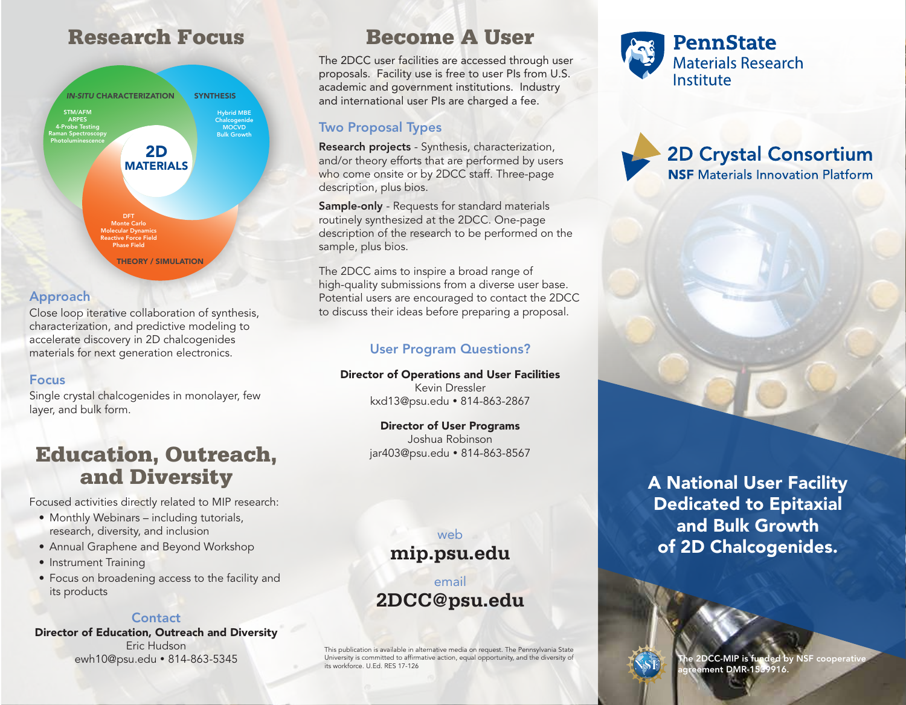# Research Focus Become A User



#### Approach

Close loop iterative collaboration of synthesis, characterization, and predictive modeling to accelerate discovery in 2D chalcogenides materials for next generation electronics.

#### Focus

Single crystal chalcogenides in monolayer, few layer, and bulk form.

# Education, Outreach, and Diversity

Focused activities directly related to MIP research:

- Monthly Webinars including tutorials, research, diversity, and inclusion
- Annual Graphene and Beyond Workshop
- Instrument Training
- Focus on broadening access to the facility and its products

#### **Contact**

Director of Education, Outreach and Diversity Eric Hudson ewh10@psu.edu • 814-863-5345

The 2DCC user facilities are accessed through user proposals. Facility use is free to user PIs from U.S. academic and government institutions. Industry and international user PIs are charged a fee.

## Two Proposal Types

Research projects - Synthesis, characterization, and/or theory efforts that are performed by users who come onsite or by 2DCC staff. Three-page description, plus bios.

Sample-only - Requests for standard materials routinely synthesized at the 2DCC. One-page description of the research to be performed on the sample, plus bios.

The 2DCC aims to inspire a broad range of high-quality submissions from a diverse user base. Potential users are encouraged to contact the 2DCC to discuss their ideas before preparing a proposal.

## User Program Questions?

# Director of Operations and User Facilities

Kevin Dressler kxd13@psu.edu 814-863-2867

Director of User Programs Joshua Robinson jar403@psu.edu • 814-863-8567

> web **mip.psu.edu**

email **2DCC@psu.edu**

This publication is available in alternative media on request. The Pennsylvania State University is committed to afrmative action, equal opportunity, and the diversity of its workforce. U.Ed. RES 17-126



**2D Crystal Consortium NSF** Materials Innovation Platform

A National User Facility Dedicated to Epitaxial and Bulk Growth of 2D Chalcogenides.